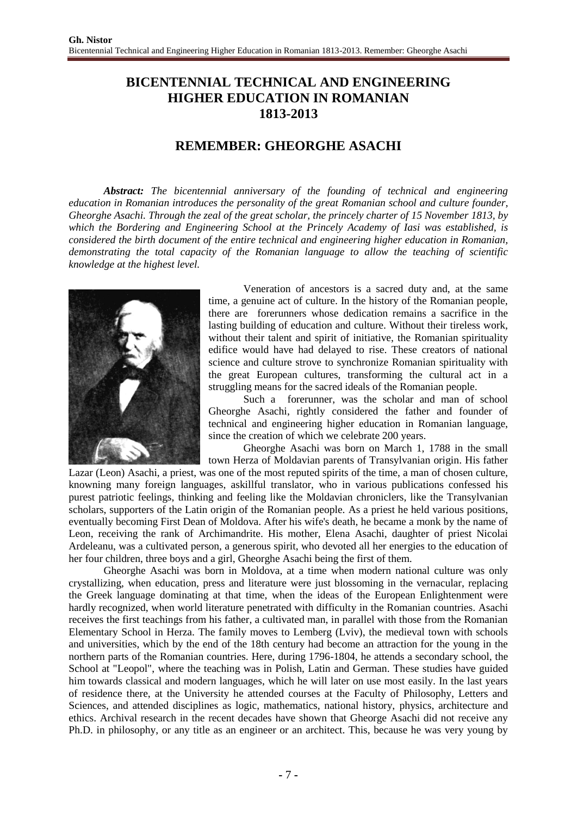## **BICENTENNIAL TECHNICAL AND ENGINEERING HIGHER EDUCATION IN ROMANIAN 1813-2013**

## **REMEMBER: GHEORGHE ASACHI**

*Abstract: The bicentennial anniversary of the founding of technical and engineering education in Romanian introduces the personality of the great Romanian school and culture founder, Gheorghe Asachi. Through the zeal of the great scholar, the princely charter of 15 November 1813, by which the Bordering and Engineering School at the Princely Academy of Iasi was established, is considered the birth document of the entire technical and engineering higher education in Romanian, demonstrating the total capacity of the Romanian language to allow the teaching of scientific knowledge at the highest level.*



Veneration of ancestors is a sacred duty and, at the same time, a genuine act of culture. In the history of the Romanian people, there are forerunners whose dedication remains a sacrifice in the lasting building of education and culture. Without their tireless work, without their talent and spirit of initiative, the Romanian spirituality edifice would have had delayed to rise. These creators of national science and culture strove to synchronize Romanian spirituality with the great European cultures, transforming the cultural act in a struggling means for the sacred ideals of the Romanian people.

Such a forerunner, was the scholar and man of school Gheorghe Asachi, rightly considered the father and founder of technical and engineering higher education in Romanian language, since the creation of which we celebrate 200 years.

Gheorghe Asachi was born on March 1, 1788 in the small town Herza of Moldavian parents of Transylvanian origin. His father

Lazar (Leon) Asachi, a priest, was one of the most reputed spirits of the time, a man of chosen culture, knowning many foreign languages, askillful translator, who in various publications confessed his purest patriotic feelings, thinking and feeling like the Moldavian chroniclers, like the Transylvanian scholars, supporters of the Latin origin of the Romanian people. As a priest he held various positions, eventually becoming First Dean of Moldova. After his wife's death, he became a monk by the name of Leon, receiving the rank of Archimandrite. His mother, Elena Asachi, daughter of priest Nicolai Ardeleanu, was a cultivated person, a generous spirit, who devoted all her energies to the education of her four children, three boys and a girl, Gheorghe Asachi being the first of them.

Gheorghe Asachi was born in Moldova, at a time when modern national culture was only crystallizing, when education, press and literature were just blossoming in the vernacular, replacing the Greek language dominating at that time, when the ideas of the European Enlightenment were hardly recognized, when world literature penetrated with difficulty in the Romanian countries. Asachi receives the first teachings from his father, a cultivated man, in parallel with those from the Romanian Elementary School in Herza. The family moves to Lemberg (Lviv), the medieval town with schools and universities, which by the end of the 18th century had become an attraction for the young in the northern parts of the Romanian countries. Here, during 1796-1804, he attends a secondary school, the School at "Leopol", where the teaching was in Polish, Latin and German. These studies have guided him towards classical and modern languages, which he will later on use most easily. In the last years of residence there, at the University he attended courses at the Faculty of Philosophy, Letters and Sciences, and attended disciplines as logic, mathematics, national history, physics, architecture and ethics. Archival research in the recent decades have shown that Gheorge Asachi did not receive any Ph.D. in philosophy, or any title as an engineer or an architect. This, because he was very young by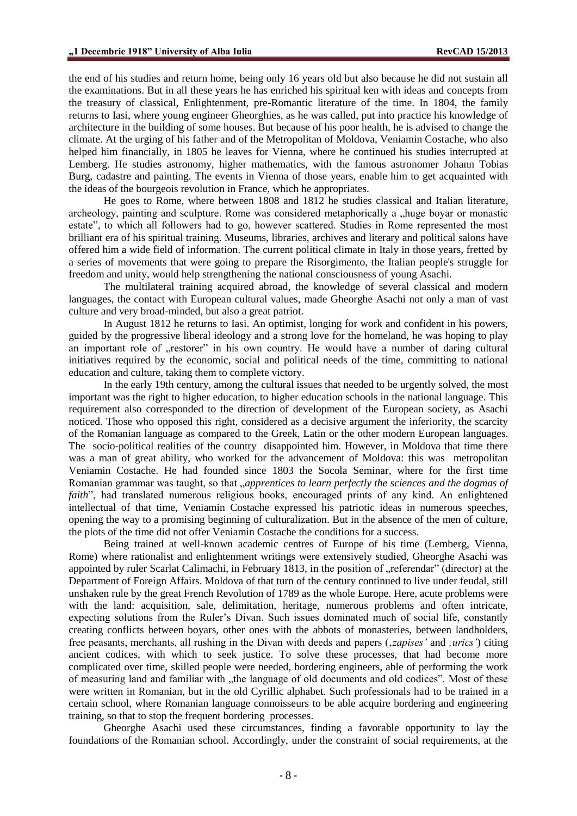the end of his studies and return home, being only 16 years old but also because he did not sustain all the examinations. But in all these years he has enriched his spiritual ken with ideas and concepts from the treasury of classical, Enlightenment, pre-Romantic literature of the time. In 1804, the family returns to Iasi, where young engineer Gheorghies, as he was called, put into practice his knowledge of architecture in the building of some houses. But because of his poor health, he is advised to change the climate. At the urging of his father and of the Metropolitan of Moldova, Veniamin Costache, who also helped him financially, in 1805 he leaves for Vienna, where he continued his studies interrupted at Lemberg. He studies astronomy, higher mathematics, with the famous astronomer Johann Tobias Burg, cadastre and painting. The events in Vienna of those years, enable him to get acquainted with the ideas of the bourgeois revolution in France, which he appropriates.

He goes to Rome, where between 1808 and 1812 he studies classical and Italian literature, archeology, painting and sculpture. Rome was considered metaphorically a "huge boyar or monastic estate", to which all followers had to go, however scattered. Studies in Rome represented the most brilliant era of his spiritual training. Museums, libraries, archives and literary and political salons have offered him a wide field of information. The current political climate in Italy in those years, fretted by a series of movements that were going to prepare the Risorgimento, the Italian people's struggle for freedom and unity, would help strengthening the national consciousness of young Asachi.

The multilateral training acquired abroad, the knowledge of several classical and modern languages, the contact with European cultural values, made Gheorghe Asachi not only a man of vast culture and very broad-minded, but also a great patriot.

In August 1812 he returns to Iasi. An optimist, longing for work and confident in his powers, guided by the progressive liberal ideology and a strong love for the homeland, he was hoping to play an important role of "restorer" in his own country. He would have a number of daring cultural initiatives required by the economic, social and political needs of the time, committing to national education and culture, taking them to complete victory.

In the early 19th century, among the cultural issues that needed to be urgently solved, the most important was the right to higher education, to higher education schools in the national language. This requirement also corresponded to the direction of development of the European society, as Asachi noticed. Those who opposed this right, considered as a decisive argument the inferiority, the scarcity of the Romanian language as compared to the Greek, Latin or the other modern European languages. The socio-political realities of the country disappointed him. However, in Moldova that time there was a man of great ability, who worked for the advancement of Moldova: this was metropolitan Veniamin Costache. He had founded since 1803 the Socola Seminar, where for the first time Romanian grammar was taught, so that *"apprentices to learn perfectly the sciences and the dogmas of faith*", had translated numerous religious books, encouraged prints of any kind. An enlightened intellectual of that time, Veniamin Costache expressed his patriotic ideas in numerous speeches, opening the way to a promising beginning of culturalization. But in the absence of the men of culture, the plots of the time did not offer Veniamin Costache the conditions for a success.

Being trained at well-known academic centres of Europe of his time (Lemberg, Vienna, Rome) where rationalist and enlightenment writings were extensively studied, Gheorghe Asachi was appointed by ruler Scarlat Calimachi, in February 1813, in the position of "referendar" (director) at the Department of Foreign Affairs. Moldova of that turn of the century continued to live under feudal, still unshaken rule by the great French Revolution of 1789 as the whole Europe. Here, acute problems were with the land: acquisition, sale, delimitation, heritage, numerous problems and often intricate, expecting solutions from the Ruler's Divan. Such issues dominated much of social life, constantly creating conflicts between boyars, other ones with the abbots of monasteries, between landholders, free peasants, merchants, all rushing in the Divan with deeds and papers ('*zapises'* and *'urics'*) citing ancient codices, with which to seek justice. To solve these processes, that had become more complicated over time, skilled people were needed, bordering engineers, able of performing the work of measuring land and familiar with "the language of old documents and old codices". Most of these were written in Romanian, but in the old Cyrillic alphabet. Such professionals had to be trained in a certain school, where Romanian language connoisseurs to be able acquire bordering and engineering training, so that to stop the frequent bordering processes.

Gheorghe Asachi used these circumstances, finding a favorable opportunity to lay the foundations of the Romanian school. Accordingly, under the constraint of social requirements, at the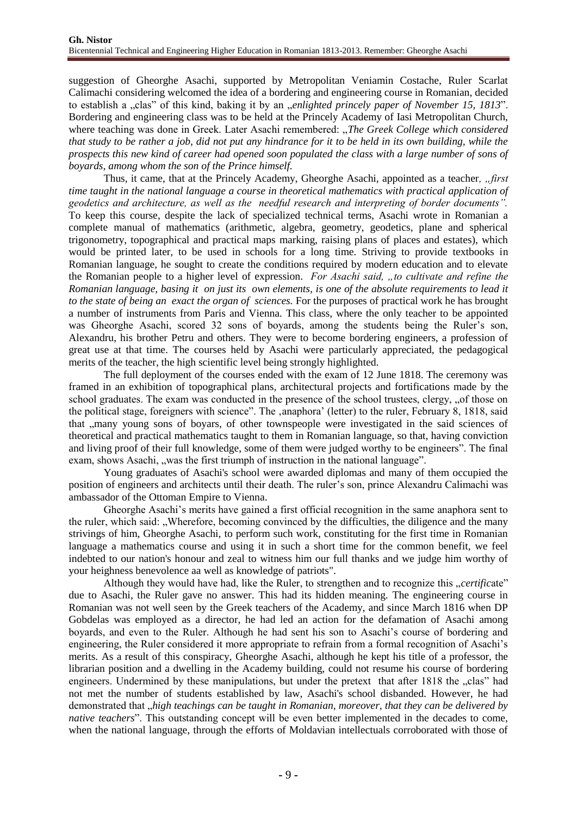suggestion of Gheorghe Asachi, supported by Metropolitan Veniamin Costache, Ruler Scarlat Calimachi considering welcomed the idea of a bordering and engineering course in Romanian, decided to establish a "clas" of this kind, baking it by an "*enlighted princely paper of November 15, 1813*". Bordering and engineering class was to be held at the Princely Academy of Iasi Metropolitan Church, where teaching was done in Greek. Later Asachi remembered: "The Greek College which considered *that study to be rather a job, did not put any hindrance for it to be held in its own building, while the prospects this new kind of career had opened soon populated the class with a large number of sons of boyards, among whom the son of the Prince himself.*

Thus, it came, that at the Princely Academy, Gheorghe Asachi, appointed as a teacher, "*first time taught in the national language a course in theoretical mathematics with practical application of geodetics and architecture, as well as the needful research and interpreting of border documents".*  To keep this course, despite the lack of specialized technical terms, Asachi wrote in Romanian a complete manual of mathematics (arithmetic, algebra, geometry, geodetics, plane and spherical trigonometry, topographical and practical maps marking, raising plans of places and estates), which would be printed later, to be used in schools for a long time. Striving to provide textbooks in Romanian language, he sought to create the conditions required by modern education and to elevate the Romanian people to a higher level of expression. *For Asachi said, "to cultivate and refine the Romanian language, basing it on just its own elements, is one of the absolute requirements to lead it to the state of being an exact the organ of sciences.* For the purposes of practical work he has brought a number of instruments from Paris and Vienna*.* This class, where the only teacher to be appointed was Gheorghe Asachi, scored 32 sons of boyards, among the students being the Ruler's son, Alexandru, his brother Petru and others. They were to become bordering engineers, a profession of great use at that time. The courses held by Asachi were particularly appreciated, the pedagogical merits of the teacher, the high scientific level being strongly highlighted.

The full deployment of the courses ended with the exam of 12 June 1818. The ceremony was framed in an exhibition of topographical plans, architectural projects and fortifications made by the school graduates. The exam was conducted in the presence of the school trustees, clergy, "of those on the political stage, foreigners with science". The ,anaphora' (letter) to the ruler, February 8, 1818, said that "many young sons of boyars, of other townspeople were investigated in the said sciences of theoretical and practical mathematics taught to them in Romanian language, so that, having conviction and living proof of their full knowledge, some of them were judged worthy to be engineers". The final exam, shows Asachi, "was the first triumph of instruction in the national language".

Young graduates of Asachi's school were awarded diplomas and many of them occupied the position of engineers and architects until their death. The ruler's son, prince Alexandru Calimachi was ambassador of the Ottoman Empire to Vienna.

Gheorghe Asachi's merits have gained a first official recognition in the same anaphora sent to the ruler, which said: "Wherefore, becoming convinced by the difficulties, the diligence and the many strivings of him, Gheorghe Asachi, to perform such work, constituting for the first time in Romanian language a mathematics course and using it in such a short time for the common benefit, we feel indebted to our nation's honour and zeal to witness him our full thanks and we judge him worthy of your heighness benevolence aa well as knowledge of patriots".

Although they would have had, like the Ruler, to strengthen and to recognize this *"certificate*" due to Asachi, the Ruler gave no answer. This had its hidden meaning. The engineering course in Romanian was not well seen by the Greek teachers of the Academy, and since March 1816 when DP Gobdelas was employed as a director, he had led an action for the defamation of Asachi among boyards, and even to the Ruler. Although he had sent his son to Asachi's course of bordering and engineering, the Ruler considered it more appropriate to refrain from a formal recognition of Asachi's merits. As a result of this conspiracy, Gheorghe Asachi, although he kept his title of a professor, the librarian position and a dwelling in the Academy building, could not resume his course of bordering engineers. Undermined by these manipulations, but under the pretext that after 1818 the "clas" had not met the number of students established by law, Asachi's school disbanded. However, he had demonstrated that "*high teachings can be taught in Romanian, moreover, that they can be delivered by native teachers*". This outstanding concept will be even better implemented in the decades to come, when the national language, through the efforts of Moldavian intellectuals corroborated with those of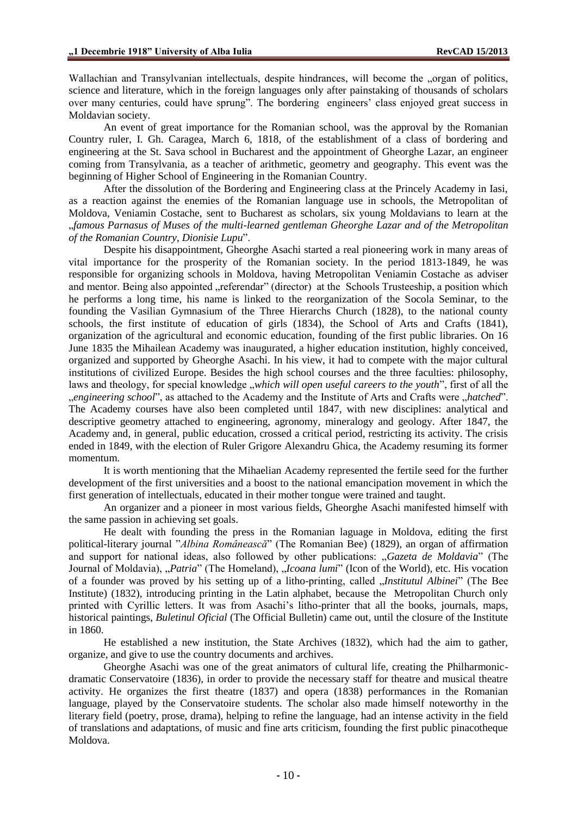Wallachian and Transylvanian intellectuals, despite hindrances, will become the "organ of politics," science and literature, which in the foreign languages only after painstaking of thousands of scholars over many centuries, could have sprung". The bordering engineers' class enjoyed great success in Moldavian society.

An event of great importance for the Romanian school, was the approval by the Romanian Country ruler, I. Gh. Caragea, March 6, 1818, of the establishment of a class of bordering and engineering at the St. Sava school in Bucharest and the appointment of Gheorghe Lazar, an engineer coming from Transylvania, as a teacher of arithmetic, geometry and geography. This event was the beginning of Higher School of Engineering in the Romanian Country.

After the dissolution of the Bordering and Engineering class at the Princely Academy in Iasi, as a reaction against the enemies of the Romanian language use in schools, the Metropolitan of Moldova, Veniamin Costache, sent to Bucharest as scholars, six young Moldavians to learn at the "*famous Parnasus of Muses of the multi-learned gentleman Gheorghe Lazar and of the Metropolitan of the Romanian Country*, *Dionisie Lupu*".

Despite his disappointment, Gheorghe Asachi started a real pioneering work in many areas of vital importance for the prosperity of the Romanian society. In the period 1813-1849, he was responsible for organizing schools in Moldova, having Metropolitan Veniamin Costache as adviser and mentor. Being also appointed "referendar" (director) at the Schools Trusteeship, a position which he performs a long time, his name is linked to the reorganization of the Socola Seminar, to the founding the Vasilian Gymnasium of the Three Hierarchs Church (1828), to the national county schools, the first institute of education of girls (1834), the School of Arts and Crafts (1841), organization of the agricultural and economic education, founding of the first public libraries. On 16 June 1835 the Mihailean Academy was inaugurated, a higher education institution, highly conceived, organized and supported by Gheorghe Asachi. In his view, it had to compete with the major cultural institutions of civilized Europe. Besides the high school courses and the three faculties: philosophy, laws and theology, for special knowledge *"which will open useful careers to the youth*", first of all the "*engineering school*", as attached to the Academy and the Institute of Arts and Crafts were "*hatched*". The Academy courses have also been completed until 1847, with new disciplines: analytical and descriptive geometry attached to engineering, agronomy, mineralogy and geology. After 1847, the Academy and, in general, public education, crossed a critical period, restricting its activity. The crisis ended in 1849, with the election of Ruler Grigore Alexandru Ghica, the Academy resuming its former momentum.

It is worth mentioning that the Mihaelian Academy represented the fertile seed for the further development of the first universities and a boost to the national emancipation movement in which the first generation of intellectuals, educated in their mother tongue were trained and taught.

An organizer and a pioneer in most various fields, Gheorghe Asachi manifested himself with the same passion in achieving set goals.

He dealt with founding the press in the Romanian laguage in Moldova, editing the first political-literary journal "*Albina Românească*" (The Romanian Bee) (1829), an organ of affirmation and support for national ideas, also followed by other publications: "*Gazeta de Moldavia*" (The Journal of Moldavia), "*Patria*" (The Homeland), "*Icoana lumi*" (Icon of the World), etc. His vocation of a founder was proved by his setting up of a litho-printing, called *"Institutul Albinei*" (The Bee Institute) (1832), introducing printing in the Latin alphabet, because the Metropolitan Church only printed with Cyrillic letters. It was from Asachi's litho-printer that all the books, journals, maps, historical paintings, *Buletinul Oficial* (The Official Bulletin) came out, until the closure of the Institute in 1860.

He established a new institution, the State Archives (1832), which had the aim to gather, organize, and give to use the country documents and archives.

Gheorghe Asachi was one of the great animators of cultural life, creating the Philharmonicdramatic Conservatoire (1836), in order to provide the necessary staff for theatre and musical theatre activity. He organizes the first theatre (1837) and opera (1838) performances in the Romanian language, played by the Conservatoire students. The scholar also made himself noteworthy in the literary field (poetry, prose, drama), helping to refine the language, had an intense activity in the field of translations and adaptations, of music and fine arts criticism, founding the first public pinacotheque Moldova.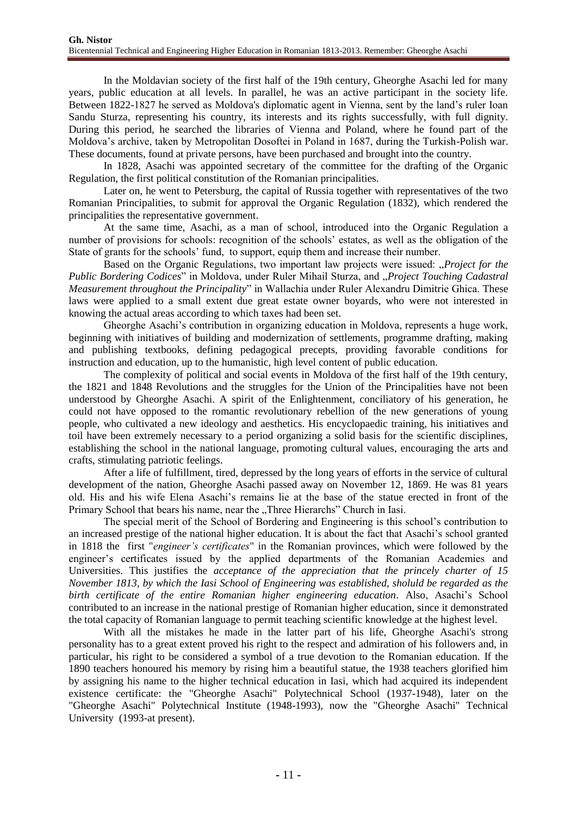In the Moldavian society of the first half of the 19th century, Gheorghe Asachi led for many years, public education at all levels. In parallel, he was an active participant in the society life. Between 1822-1827 he served as Moldova's diplomatic agent in Vienna, sent by the land's ruler Ioan Sandu Sturza, representing his country, its interests and its rights successfully, with full dignity. During this period, he searched the libraries of Vienna and Poland, where he found part of the Moldova's archive, taken by Metropolitan Dosoftei in Poland in 1687, during the Turkish-Polish war. These documents, found at private persons, have been purchased and brought into the country.

In 1828, Asachi was appointed secretary of the committee for the drafting of the Organic Regulation, the first political constitution of the Romanian principalities.

Later on, he went to Petersburg, the capital of Russia together with representatives of the two Romanian Principalities, to submit for approval the Organic Regulation (1832), which rendered the principalities the representative government.

At the same time, Asachi, as a man of school, introduced into the Organic Regulation a number of provisions for schools: recognition of the schools' estates, as well as the obligation of the State of grants for the schools' fund, to support, equip them and increase their number.

Based on the Organic Regulations, two important law projects were issued: "*Project for the Public Bordering Codices*" in Moldova, under Ruler Mihail Sturza, and "*Project Touching Cadastral Measurement throughout the Principality*" in Wallachia under Ruler Alexandru Dimitrie Ghica. These laws were applied to a small extent due great estate owner boyards, who were not interested in knowing the actual areas according to which taxes had been set.

Gheorghe Asachi's contribution in organizing education in Moldova, represents a huge work, beginning with initiatives of building and modernization of settlements, programme drafting, making and publishing textbooks, defining pedagogical precepts, providing favorable conditions for instruction and education, up to the humanistic, high level content of public education.

The complexity of political and social events in Moldova of the first half of the 19th century, the 1821 and 1848 Revolutions and the struggles for the Union of the Principalities have not been understood by Gheorghe Asachi. A spirit of the Enlightenment, conciliatory of his generation, he could not have opposed to the romantic revolutionary rebellion of the new generations of young people, who cultivated a new ideology and aesthetics. His encyclopaedic training, his initiatives and toil have been extremely necessary to a period organizing a solid basis for the scientific disciplines, establishing the school in the national language, promoting cultural values, encouraging the arts and crafts, stimulating patriotic feelings.

After a life of fulfillment, tired, depressed by the long years of efforts in the service of cultural development of the nation, Gheorghe Asachi passed away on November 12, 1869. He was 81 years old. His and his wife Elena Asachi's remains lie at the base of the statue erected in front of the Primary School that bears his name, near the "Three Hierarchs" Church in Iasi.

The special merit of the School of Bordering and Engineering is this school's contribution to an increased prestige of the national higher education. It is about the fact that Asachi's school granted in 1818 the first "*engineer's certificates*" in the Romanian provinces, which were followed by the engineer's certificates issued by the applied departments of the Romanian Academies and Universities. This justifies the *acceptance of the appreciation that the princely charter of 15 November 1813, by which the Iasi School of Engineering was established, sholuld be regarded as the birth certificate of the entire Romanian higher engineering education*. Also, Asachi's School contributed to an increase in the national prestige of Romanian higher education, since it demonstrated the total capacity of Romanian language to permit teaching scientific knowledge at the highest level.

With all the mistakes he made in the latter part of his life, Gheorghe Asachi's strong personality has to a great extent proved his right to the respect and admiration of his followers and, in particular, his right to be considered a symbol of a true devotion to the Romanian education. If the 1890 teachers honoured his memory by rising him a beautiful statue, the 1938 teachers glorified him by assigning his name to the higher technical education in Iasi, which had acquired its independent existence certificate: the "Gheorghe Asachi" Polytechnical School (1937-1948), later on the "Gheorghe Asachi" Polytechnical Institute (1948-1993), now the "Gheorghe Asachi" Technical University (1993-at present).